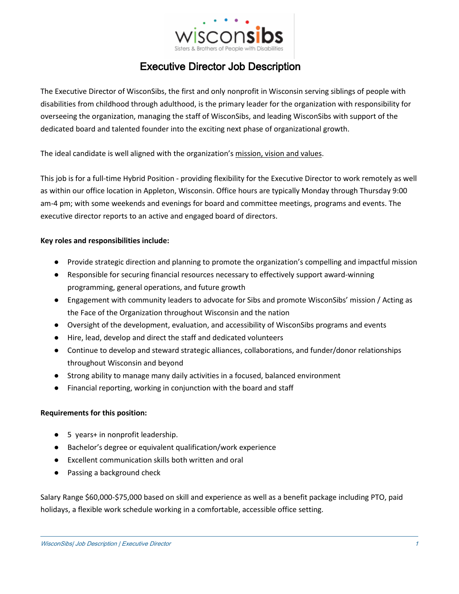

## Executive Director Job Description

The Executive Director of WisconSibs, the first and only nonprofit in Wisconsin serving siblings of people with disabilities from childhood through adulthood, is the primary leader for the organization with responsibility for overseeing the organization, managing the staff of WisconSibs, and leading WisconSibs with support of the dedicated board and talented founder into the exciting next phase of organizational growth.

The ideal candidate is well aligned with the organization's [mission, vision and values.](https://wisconsibs.org/who-we-are/)

This job is for a full-time Hybrid Position - providing flexibility for the Executive Director to work remotely as well as within our office location in Appleton, Wisconsin. Office hours are typically Monday through Thursday 9:00 am-4 pm; with some weekends and evenings for board and committee meetings, programs and events. The executive director reports to an active and engaged board of directors.

## **Key roles and responsibilities include:**

- Provide strategic direction and planning to promote the organization's compelling and impactful mission
- Responsible for securing financial resources necessary to effectively support award-winning programming, general operations, and future growth
- Engagement with community leaders to advocate for Sibs and promote WisconSibs' mission / Acting as the Face of the Organization throughout Wisconsin and the nation
- Oversight of the development, evaluation, and accessibility of WisconSibs programs and events
- Hire, lead, develop and direct the staff and dedicated volunteers
- Continue to develop and steward strategic alliances, collaborations, and funder/donor relationships throughout Wisconsin and beyond
- Strong ability to manage many daily activities in a focused, balanced environment
- Financial reporting, working in conjunction with the board and staff

## **Requirements for this position:**

- 5 years+ in nonprofit leadership.
- Bachelor's degree or equivalent qualification/work experience
- Excellent communication skills both written and oral
- Passing a background check

Salary Range \$60,000-\$75,000 based on skill and experience as well as a benefit package including PTO, paid holidays, a flexible work schedule working in a comfortable, accessible office setting.